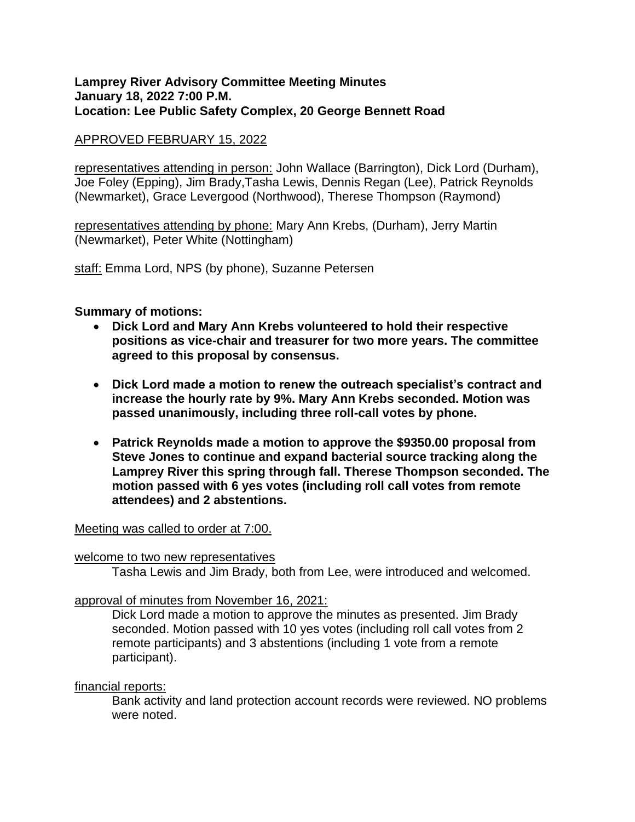### **Lamprey River Advisory Committee Meeting Minutes January 18, 2022 7:00 P.M. Location: Lee Public Safety Complex, 20 George Bennett Road**

# APPROVED FEBRUARY 15, 2022

representatives attending in person: John Wallace (Barrington), Dick Lord (Durham), Joe Foley (Epping), Jim Brady,Tasha Lewis, Dennis Regan (Lee), Patrick Reynolds (Newmarket), Grace Levergood (Northwood), Therese Thompson (Raymond)

representatives attending by phone: Mary Ann Krebs, (Durham), Jerry Martin (Newmarket), Peter White (Nottingham)

staff: Emma Lord, NPS (by phone), Suzanne Petersen

## **Summary of motions:**

- **Dick Lord and Mary Ann Krebs volunteered to hold their respective positions as vice-chair and treasurer for two more years. The committee agreed to this proposal by consensus.**
- **Dick Lord made a motion to renew the outreach specialist's contract and increase the hourly rate by 9%. Mary Ann Krebs seconded. Motion was passed unanimously, including three roll-call votes by phone.**
- **Patrick Reynolds made a motion to approve the \$9350.00 proposal from Steve Jones to continue and expand bacterial source tracking along the Lamprey River this spring through fall. Therese Thompson seconded. The motion passed with 6 yes votes (including roll call votes from remote attendees) and 2 abstentions.**

### Meeting was called to order at 7:00.

### welcome to two new representatives

Tasha Lewis and Jim Brady, both from Lee, were introduced and welcomed.

### approval of minutes from November 16, 2021:

Dick Lord made a motion to approve the minutes as presented. Jim Brady seconded. Motion passed with 10 yes votes (including roll call votes from 2 remote participants) and 3 abstentions (including 1 vote from a remote participant).

### financial reports:

Bank activity and land protection account records were reviewed. NO problems were noted.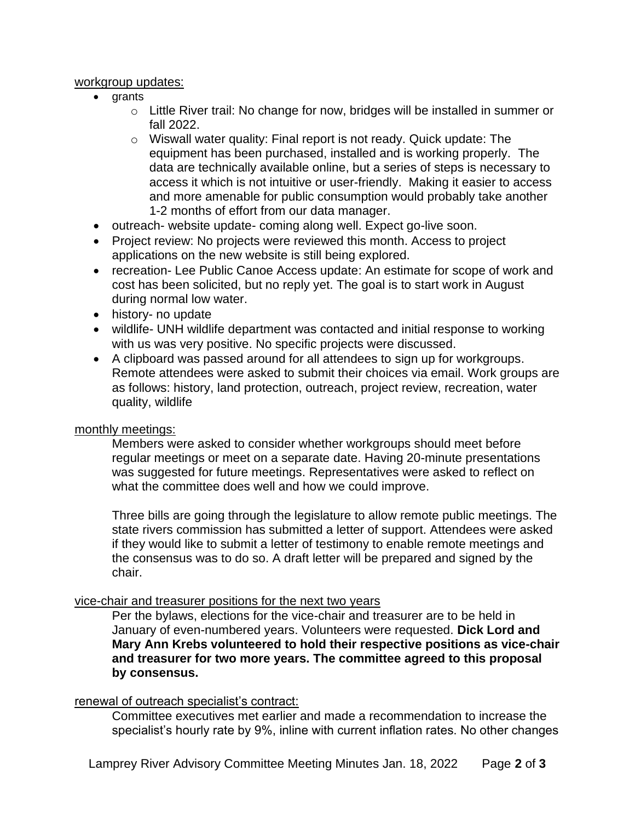## workgroup updates:

- grants
	- $\circ$  Little River trail: No change for now, bridges will be installed in summer or fall 2022.
	- o Wiswall water quality: Final report is not ready. Quick update: The equipment has been purchased, installed and is working properly. The data are technically available online, but a series of steps is necessary to access it which is not intuitive or user-friendly. Making it easier to access and more amenable for public consumption would probably take another 1-2 months of effort from our data manager.
- outreach- website update- coming along well. Expect go-live soon.
- Project review: No projects were reviewed this month. Access to project applications on the new website is still being explored.
- recreation- Lee Public Canoe Access update: An estimate for scope of work and cost has been solicited, but no reply yet. The goal is to start work in August during normal low water.
- history- no update
- wildlife- UNH wildlife department was contacted and initial response to working with us was very positive. No specific projects were discussed.
- A clipboard was passed around for all attendees to sign up for workgroups. Remote attendees were asked to submit their choices via email. Work groups are as follows: history, land protection, outreach, project review, recreation, water quality, wildlife

# monthly meetings:

Members were asked to consider whether workgroups should meet before regular meetings or meet on a separate date. Having 20-minute presentations was suggested for future meetings. Representatives were asked to reflect on what the committee does well and how we could improve.

Three bills are going through the legislature to allow remote public meetings. The state rivers commission has submitted a letter of support. Attendees were asked if they would like to submit a letter of testimony to enable remote meetings and the consensus was to do so. A draft letter will be prepared and signed by the chair.

# vice-chair and treasurer positions for the next two years

Per the bylaws, elections for the vice-chair and treasurer are to be held in January of even-numbered years. Volunteers were requested. **Dick Lord and Mary Ann Krebs volunteered to hold their respective positions as vice-chair and treasurer for two more years. The committee agreed to this proposal by consensus.**

### renewal of outreach specialist's contract:

Committee executives met earlier and made a recommendation to increase the specialist's hourly rate by 9%, inline with current inflation rates. No other changes